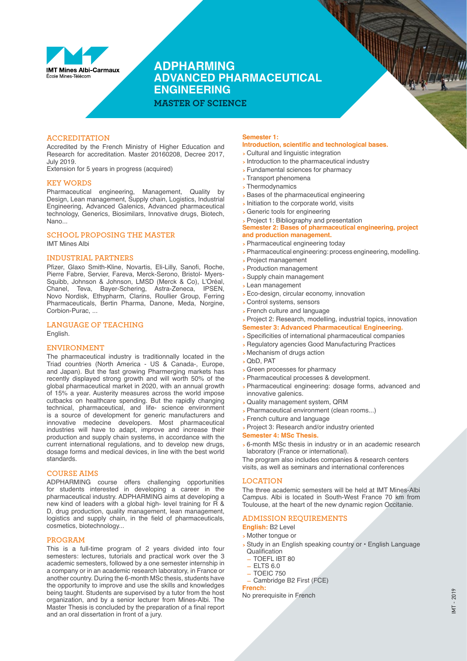

**ADPHARMING ADVANCED PHARMACEUTICAL ENGINEERING**

**MASTER OF SCIENCE**

# **ACCREDITATION**

Accredited by the French Ministry of Higher Education and Research for accreditation. Master 20160208, Decree 2017, July 2019.

Extension for 5 years in progress (acquired)

#### **KEY WORDS**

Pharmaceutical engineering, Management, Quality by Design, Lean management, Supply chain, Logistics, Industrial Engineering, Advanced Galenics, Advanced pharmaceutical technology, Generics, Biosimilars, Innovative drugs, Biotech, Nano...

#### **SCHOOL PROPOSING THE MASTER**

IMT Mines Albi

#### **INDUSTRIAL PARTNERS**

Pfizer, Glaxo Smith-Kline, Novartis, Eli-Lilly, Sanofi, Roche, Pierre Fabre, Servier, Fareva, Merck-Serono, Bristol- Myers-Squibb, Johnson & Johnson, LMSD (Merck & Co), L'Oréal, Chanel, Teva, Bayer-Schering, Astra-Zeneca, IPSEN, Novo Nordisk, Ethypharm, Clarins, Roullier Group, Ferring Pharmaceuticals, Bertin Pharma, Danone, Meda, Norgine, Corbion-Purac, ...

# **LANGUAGE OF TEACHING**

English.

# **ENVIRONMENT**

The pharmaceutical industry is traditionnally located in the Triad countries (North America - US & Canada-, Europe, and Japan). But the fast growing Pharmerging markets has recently displayed strong growth and will worth 50% of the global pharmaceutical market in 2020, with an annual growth of 15% a year. Austerity measures across the world impose cutbacks on healthcare spending. But the rapidly changing technical, pharmaceutical, and life- science environment is a source of development for generic manufacturers and innovative medecine developers. Most pharmaceutical industries will have to adapt, improve and increase their production and supply chain systems, in accordance with the current international regulations, and to develop new drugs, dosage forms and medical devices, in line with the best world standards.

#### **COURSE AIMS**

ADPHARMING course offers challenging opportunities for students interested in developing a career in the pharmaceutical industry. ADPHARMING aims at developing a new kind of leaders with a global high- level training for R & D, drug production, quality management, lean management, logistics and supply chain, in the field of pharmaceuticals, cosmetics, biotechnology...

#### **PROGRAM**

This is a full-time program of 2 years divided into four semesters: lectures, tutorials and practical work over the 3 academic semesters, followed by a one semester internship in a company or in an academic research laboratory, in France or another country. During the 6-month MSc thesis, students have the opportunity to improve and use the skills and knowledges being taught. Students are supervised by a tutor from the host organization, and by a senior lecturer from Mines-Albi. The Master Thesis is concluded by the preparation of a final report and an oral dissertation in front of a jury.

# **Semester 1:**

# **Introduction, scientific and technological bases.**

- **>** Cultural and linguistic integration
- **>** Introduction to the pharmaceutical industry
- **>** Fundamental sciences for pharmacy
- **>** Transport phenomena
- **>** Thermodynamics
- **>** Bases of the pharmaceutical engineering
- **>** Initiation to the corporate world, visits
- **>** Generic tools for engineering
- **>** Project 1: Bibliography and presentation

**Semester 2: Bases of pharmaceutical engineering, project and production management.** 

- **>** Pharmaceutical engineering today
- **>** Pharmaceutical engineering: process engineering, modelling.
- **>** Project management
- **>** Production management
- **>** Supply chain management
- **>** Lean management
- **>** Eco-design, circular economy, innovation
- **>** Control systems, sensors
- **>** French culture and language
- **>** Project 2: Research, modelling, industrial topics, innovation
- **Semester 3: Advanced Pharmaceutical Engineering.**
- **>** Specificities of international pharmaceutical companies
- **>** Regulatory agencies Good Manufacturing Practices
- **>** Mechanism of drugs action
- **>** QbD, PAT
- **>** Green processes for pharmacy
- **>** Pharmaceutical processes & development.
- **>** Pharmaceutical engineering: dosage forms, advanced and innovative galenics.
- **>** Quality management system, QRM
- **>** Pharmaceutical environment (clean rooms...)
- **>** French culture and language
- **>** Project 3: Research and/or industry oriented

#### **Semester 4: MSc Thesis.**

**>** 6-month MSc thesis in industry or in an academic research laboratory (France or international).

The program also includes companies & research centers visits, as well as seminars and international conferences

#### **LOCATION**

The three academic semesters will be held at IMT Mines-Albi Campus. Albi is located in South-West France 70 km from Toulouse, at the heart of the new dynamic region Occitanie.

#### **ADMISSION REQUIREMENTS**

**English:** B2 Level

- **>** Mother tongue or
- **>** Study in an English speaking country or English Language Qualification
	- **—** TOEFL IBT 80
- **—** ELTS 6.0
- **—** TOEIC 750

**—** Cambridge B2 First (FCE) **French:**

No prerequisite in French